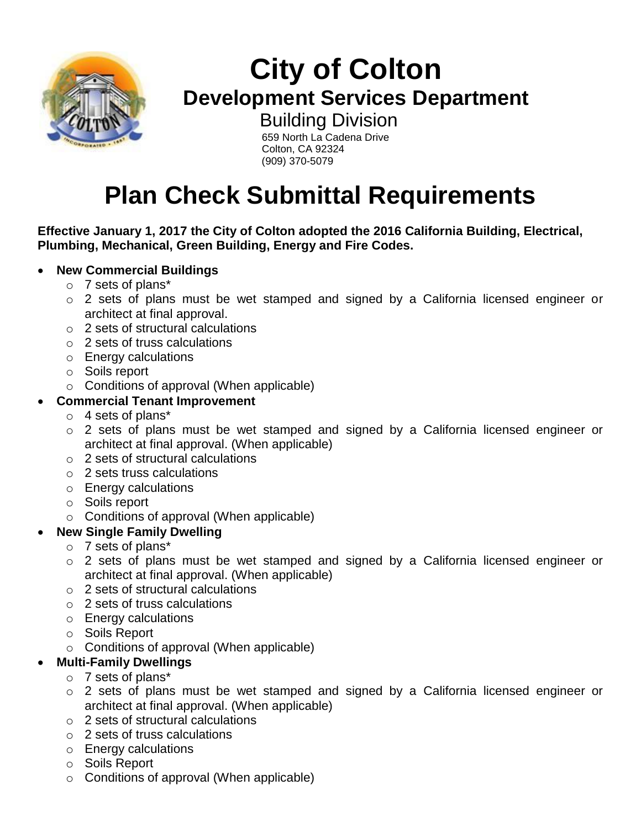

# **City of Colton Development Services Department**

 Building Division 659 North La Cadena Drive Colton, CA 92324 (909) 370-5079

# **Plan Check Submittal Requirements**

#### **Effective January 1, 2017 the City of Colton adopted the 2016 California Building, Electrical, Plumbing, Mechanical, Green Building, Energy and Fire Codes.**

#### **New Commercial Buildings**

- o 7 sets of plans\*
- o 2 sets of plans must be wet stamped and signed by a California licensed engineer or architect at final approval.
- o 2 sets of structural calculations
- o 2 sets of truss calculations
- o Energy calculations
- o Soils report
- o Conditions of approval (When applicable)

#### **Commercial Tenant Improvement**

- o 4 sets of plans\*
- o 2 sets of plans must be wet stamped and signed by a California licensed engineer or architect at final approval. (When applicable)
- o 2 sets of structural calculations
- o 2 sets truss calculations
- o Energy calculations
- o Soils report
- o Conditions of approval (When applicable)
- **New Single Family Dwelling**
	- o 7 sets of plans\*
	- o 2 sets of plans must be wet stamped and signed by a California licensed engineer or architect at final approval. (When applicable)
	- o 2 sets of structural calculations
	- o 2 sets of truss calculations
	- o Energy calculations
	- o Soils Report
	- o Conditions of approval (When applicable)

## **Multi-Family Dwellings**

- o 7 sets of plans\*
- o 2 sets of plans must be wet stamped and signed by a California licensed engineer or architect at final approval. (When applicable)
- o 2 sets of structural calculations
- o 2 sets of truss calculations
- o Energy calculations
- o Soils Report
- o Conditions of approval (When applicable)